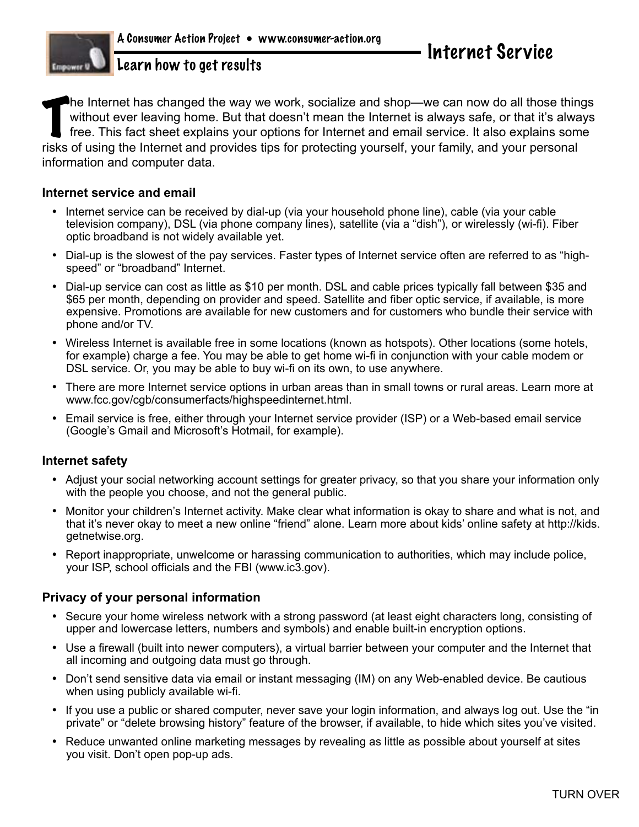Learn how to get results

The Internet has changed the way we work, socialize and shop—we can now do all those thin without ever leaving home. But that doesn't mean the Internet is always safe, or that it's alway free. This fact sheet explains your he Internet has changed the way we work, socialize and shop—we can now do all those things without ever leaving home. But that doesn't mean the Internet is always safe, or that it's always free. This fact sheet explains your options for Internet and email service. It also explains some information and computer data.

## **Internet service and email**

- Internet service can be received by dial-up (via your household phone line), cable (via your cable television company), DSL (via phone company lines), satellite (via a "dish"), or wirelessly (wi-fi). Fiber optic broadband is not widely available yet.
- • Dial-up is the slowest of the pay services. Faster types of Internet service often are referred to as "highspeed" or "broadband" Internet.
- Dial-up service can cost as little as \$10 per month. DSL and cable prices typically fall between \$35 and \$65 per month, depending on provider and speed. Satellite and fiber optic service, if available, is more expensive. Promotions are available for new customers and for customers who bundle their service with phone and/or TV.
- • Wireless Internet is available free in some locations (known as hotspots). Other locations (some hotels, for example) charge a fee. You may be able to get home wi-fi in conjunction with your cable modem or DSL service. Or, you may be able to buy wi-fi on its own, to use anywhere.
- • There are more Internet service options in urban areas than in small towns or rural areas. Learn more at www.fcc.gov/cgb/consumerfacts/highspeedinternet.html.
- Email service is free, either through your Internet service provider (ISP) or a Web-based email service (Google's Gmail and Microsoft's Hotmail, for example).

### **Internet safety**

- • Adjust your social networking account settings for greater privacy, so that you share your information only with the people you choose, and not the general public.
- Monitor your children's Internet activity. Make clear what information is okay to share and what is not, and that it's never okay to meet a new online "friend" alone. Learn more about kids' online safety at http://kids. getnetwise.org.
- Report inappropriate, unwelcome or harassing communication to authorities, which may include police, your ISP, school officials and the FBI (www.ic3.gov).

### **Privacy of your personal information**

- Secure your home wireless network with a strong password (at least eight characters long, consisting of upper and lowercase letters, numbers and symbols) and enable built-in encryption options.
- • Use a firewall (built into newer computers), a virtual barrier between your computer and the Internet that all incoming and outgoing data must go through.
- • Don't send sensitive data via email or instant messaging (IM) on any Web-enabled device. Be cautious when using publicly available wi-fi.
- • If you use a public or shared computer, never save your login information, and always log out. Use the "in private" or "delete browsing history" feature of the browser, if available, to hide which sites you've visited.
- Reduce unwanted online marketing messages by revealing as little as possible about yourself at sites you visit. Don't open pop-up ads.